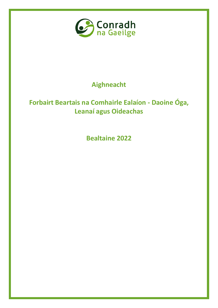

# **Aighneacht**

# **Forbairt Beartais na Comhairle Ealaíon - Daoine Óga, Leanaí agus Oideachas**

**Bealtaine 2022**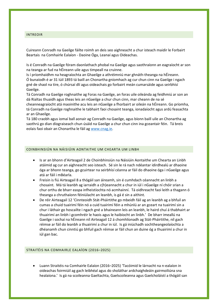#### INTREOIR

Cuireann Conradh na Gaeilge fáilte roimh an deis seo aighneacht a chur isteach maidir le Forbairt Beartais na Comhairle Ealaíon - Daoine Óga, Leanaí agus Oideachas.

Is é Conradh na Gaeilge fóram daonlathach phobal na Gaeilge agus saothraíonn an eagraíocht ar son na teanga ar fud na hÉireann uile agus timpeall na cruinne.

Is í príomhaidhm na heagraíochta an Ghaeilge a athréimniú mar ghnáth-theanga na hÉireann. Ó bunaíodh é ar 31 Iúil 1893 tá baill an Chonartha gníomhach ag cur chun cinn na Gaeilge i ngach gné de shaol na tíre, ó chúrsaí dlí agus oideachais go forbairt meán cumarsáide agus seirbhísí Gaeilge.

Tá Conradh na Gaeilge roghnaithe ag Foras na Gaeilge, an foras uile oileánda ag feidhmiú ar son an dá Rialtas thuaidh agus theas leis an nGaeilge a chur chun cinn, mar cheann de na sé

cheanneagraíocht atá maoinithe acu leis an nGaeilge a fhorbairt ar oileán na hÉireann. Go príomha, tá Conradh na Gaeilge roghnaithe le tabhairt faoi chosaint teanga, ionadaíocht agus ardú feasachta ar an Ghaeilge.

Tá 180 craobh agus iomaí ball aonair ag Conradh na Gaeilge, agus bíonn baill uile an Chonartha ag saothrú go dian díograiseach chun úsáid na Gaeilge a chur chun cinn ina gceantair féin. Tá breis eolais faoi obair an Chonartha le fáil ag [www.cnag.ie.](http://www.cnag.ie/)

#### COINBHINSIÚN NA NÁISIÚIN AONTAITHE UM CHEARTA UM LINBH

- Is ar an bhonn d'Airteagail 2 de Choinbhinsiún na Náisiúin Aontaithe um Chearta an Linbh atáimid ag cur an aighneacht seo isteach. Sé sin le rá nach ndéantar idirdhealú ar dhaoine óga ar bhonn teanga, go gcuirtear na seirbhísí céanna ar fáil do dhaoine óga i nGaeilge agus atá ar fáil i mBéarla.
- Freisin is fiú Airteagail 8 a thógáil san áireamh, sin é cumhdach céannacht an linbh a chosaint. Má tá leanbh ag iarraidh a c(h)eannacht a chur in iúl i nGaeilge ní chóir srian a chur orthu de bharr easpa infheistíochta nó acmhainní. Tá oidhreacht faoi leith a thagann ó theanga a chruthaíonn féiniúlacht an leanbh, is gá é sin a aithint.
- De réir Airteagail 12 'Cinnteoidh Stát-Pháirtithe go mbeidh fáil ag an leanbh ag a bhfuil an cumas a chuid tuairimí féin nó a cuid tuairimí féin a mhúnlú ar an gceart na tuairimí sin a chur i láthair go hoscailte i ngach gné a bhaineann leis an leanbh, le haird chuí á thabhairt ar thuairimí an linbh i gcomhréir le haois agus le haibíocht an linbh.' De bharr imeallú na Gaeilge i sochaí na hÉireann níl Airteagail 12 á chomhlíonadh ag Stát-Pháirtithe, níl gach réimse ar fáil do leanbh a thuairimí a chur in iúl. Is gá iniúchadh sochtheangeolaíochta a dhéanamh chun cinntiú go bhfuil gach réimse ar fáil chun an duine óg a thuairimí a chur in iúl gan bac.

#### STRAITÉIS NA COMHAIRLE EALAÍON (2016–2025)

 Luann Straitéis na Comhairle Ealaíon (2016–2025) 'Tacóimid le lárnacht na n-ealaíon in oideachas foirmiúil ag gach leibhéal agus do sholáthar ardchaighdeáin gairmoiliúna sna healaíona.' Is gá na scoileanna Gaeltachta, Gaelscoileanna agus Gaelcholáistí a thógáil san